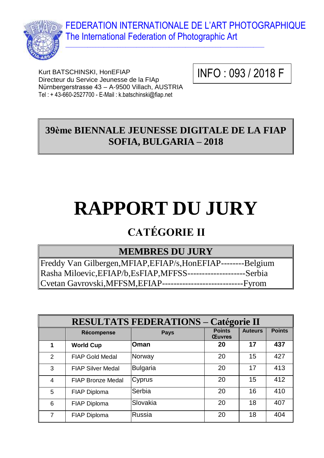FEDERATION INTERNATIONALE DE L'ART PHOTOGRAPHIQUE The International Federation of Photographic Art



Kurt BATSCHINSKI, HonEFIAP Directeur du Service Jeunesse de la FIAp Nürnbergerstrasse 43 – A-9500 Villach, AUSTRIA Tel : + 43-660-2527700 - E-Mail : k.batschinski@fiap.net

INFO : 093 / 2018 F

## **39ème BIENNALE JEUNESSE DIGITALE DE LA FIAP SOFIA, BULGARIA – 2018**

 $\_$  , and the set of the set of the set of the set of the set of the set of the set of the set of the set of the set of the set of the set of the set of the set of the set of the set of the set of the set of the set of th

# **RAPPORT DU JURY**

## **CATÉGORIE II**

## **MEMBRES DU JURY**

Freddy Van Gilbergen,MFIAP,EFIAP/s,HonEFIAP--------Belgium Rasha Miloevic,EFIAP/b,EsFIAP,MFFSS--------------------Serbia Cvetan Gavrovski,MFFSM,EFIAP----------------------------Fyrom

| <b>RESULTATS FEDERATIONS - Catégorie II</b> |                          |                 |                                |                |               |
|---------------------------------------------|--------------------------|-----------------|--------------------------------|----------------|---------------|
|                                             | Récompense               | <b>Pays</b>     | <b>Points</b><br><b>Œuvres</b> | <b>Auteurs</b> | <b>Points</b> |
| 1                                           | <b>World Cup</b>         | <b>Oman</b>     | 20                             | 17             | 437           |
| 2                                           | <b>FIAP Gold Medal</b>   | Norway          | 20                             | 15             | 427           |
| 3                                           | <b>FIAP Silver Medal</b> | <b>Bulgaria</b> | 20                             | 17             | 413           |
| $\overline{4}$                              | <b>FIAP Bronze Medal</b> | Cyprus          | 20                             | 15             | 412           |
| 5                                           | FIAP Diploma             | Serbia          | 20                             | 16             | 410           |
| 6                                           | FIAP Diploma             | Slovakia        | 20                             | 18             | 407           |
| 7                                           | <b>FIAP Diploma</b>      | Russia          | 20                             | 18             | 404           |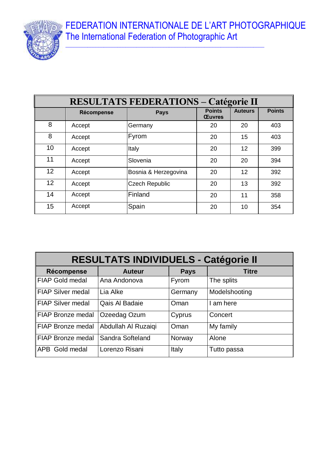FEDERATION INTERNATIONALE DE L'ART PHOTOGRAPHIQUE The International Federation of Photographic Art



| <b>RESULTATS FEDERATIONS - Catégorie II</b> |            |                       |                                |                |               |
|---------------------------------------------|------------|-----------------------|--------------------------------|----------------|---------------|
|                                             | Récompense | <b>Pays</b>           | <b>Points</b><br><b>Œuvres</b> | <b>Auteurs</b> | <b>Points</b> |
| 8                                           | Accept     | Germany               | 20                             | 20             | 403           |
| 8                                           | Accept     | <b>Fyrom</b>          | 20                             | 15             | 403           |
| 10                                          | Accept     | Italy                 | 20                             | 12             | 399           |
| 11                                          | Accept     | Slovenia              | 20                             | 20             | 394           |
| 12                                          | Accept     | Bosnia & Herzegovina  | 20                             | 12             | 392           |
| 12                                          | Accept     | <b>Czech Republic</b> | 20                             | 13             | 392           |
| 14                                          | Accept     | Finland               | 20                             | 11             | 358           |
| 15                                          | Accept     | Spain                 | 20                             | 10             | 354           |

| <b>RESULTATS INDIVIDUELS - Catégorie II</b> |                     |             |               |
|---------------------------------------------|---------------------|-------------|---------------|
| Récompense                                  | <b>Auteur</b>       | <b>Pays</b> | <b>Titre</b>  |
| <b>FIAP Gold medal</b>                      | Ana Andonova        | Fyrom       | The splits    |
| <b>FIAP Silver medal</b>                    | Lia Alke            | Germany     | Modelshooting |
| <b>FIAP Silver medal</b>                    | Qais Al Badaie      | Oman        | I am here     |
| <b>FIAP Bronze medal</b>                    | Ozeedag Ozum        | Cyprus      | Concert       |
| <b>FIAP Bronze medal</b>                    | Abdullah Al Ruzaiqi | Oman        | My family     |
| <b>FIAP Bronze medal</b>                    | Sandra Softeland    | Norway      | Alone         |
| APB Gold medal                              | Lorenzo Risani      | Italy       | Tutto passa   |